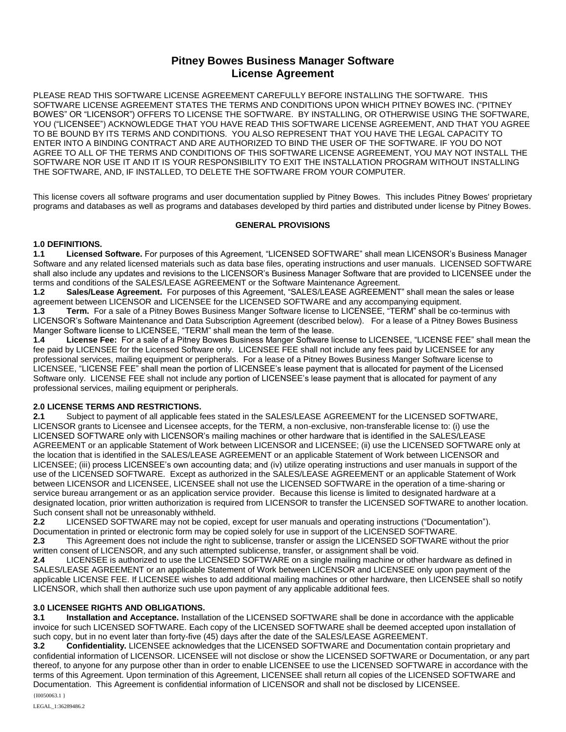# **Pitney Bowes Business Manager Software License Agreement**

PLEASE READ THIS SOFTWARE LICENSE AGREEMENT CAREFULLY BEFORE INSTALLING THE SOFTWARE. THIS SOFTWARE LICENSE AGREEMENT STATES THE TERMS AND CONDITIONS UPON WHICH PITNEY BOWES INC. ("PITNEY BOWES" OR "LICENSOR") OFFERS TO LICENSE THE SOFTWARE. BY INSTALLING, OR OTHERWISE USING THE SOFTWARE, YOU ("LICENSEE") ACKNOWLEDGE THAT YOU HAVE READ THIS SOFTWARE LICENSE AGREEMENT, AND THAT YOU AGREE TO BE BOUND BY ITS TERMS AND CONDITIONS. YOU ALSO REPRESENT THAT YOU HAVE THE LEGAL CAPACITY TO ENTER INTO A BINDING CONTRACT AND ARE AUTHORIZED TO BIND THE USER OF THE SOFTWARE. IF YOU DO NOT AGREE TO ALL OF THE TERMS AND CONDITIONS OF THIS SOFTWARE LICENSE AGREEMENT, YOU MAY NOT INSTALL THE SOFTWARE NOR USE IT AND IT IS YOUR RESPONSIBILITY TO EXIT THE INSTALLATION PROGRAM WITHOUT INSTALLING THE SOFTWARE, AND, IF INSTALLED, TO DELETE THE SOFTWARE FROM YOUR COMPUTER.

This license covers all software programs and user documentation supplied by Pitney Bowes. This includes Pitney Bowes' proprietary programs and databases as well as programs and databases developed by third parties and distributed under license by Pitney Bowes.

# **GENERAL PROVISIONS**

# **1.0 DEFINITIONS.**

**1.1 Licensed Software.** For purposes of this Agreement, "LICENSED SOFTWARE" shall mean LICENSOR's Business Manager Software and any related licensed materials such as data base files, operating instructions and user manuals. LICENSED SOFTWARE shall also include any updates and revisions to the LICENSOR's Business Manager Software that are provided to LICENSEE under the terms and conditions of the SALES/LEASE AGREEMENT or the Software Maintenance Agreement.

**1.2 Sales/Lease Agreement.** For purposes of this Agreement, "SALES/LEASE AGREEMENT" shall mean the sales or lease agreement between LICENSOR and LICENSEE for the LICENSED SOFTWARE and any accompanying equipment. **1.3 Term.** For a sale of a Pitney Bowes Business Manger Software license to LICENSEE, "TERM" shall be co-terminus with LICENSOR's Software Maintenance and Data Subscription Agreement (described below). For a lease of a Pitney Bowes Business Manger Software license to LICENSEE, "TERM" shall mean the term of the lease.

**1.4 License Fee:** For a sale of a Pitney Bowes Business Manger Software license to LICENSEE, "LICENSE FEE" shall mean the fee paid by LICENSEE for the Licensed Software only. LICENSEE FEE shall not include any fees paid by LICENSEE for any professional services, mailing equipment or peripherals.For a lease of a Pitney Bowes Business Manger Software license to LICENSEE, "LICENSE FEE" shall mean the portion of LICENSEE's lease payment that is allocated for payment of the Licensed Software only. LICENSE FEE shall not include any portion of LICENSEE's lease payment that is allocated for payment of any professional services, mailing equipment or peripherals.

# **2.0 LICENSE TERMS AND RESTRICTIONS.**

**2.1** Subject to payment of all applicable fees stated in the SALES/LEASE AGREEMENT for the LICENSED SOFTWARE, LICENSOR grants to Licensee and Licensee accepts, for the TERM, a non-exclusive, non-transferable license to: (i) use the LICENSED SOFTWARE only with LICENSOR's mailing machines or other hardware that is identified in the SALES/LEASE AGREEMENT or an applicable Statement of Work between LICENSOR and LICENSEE; (ii) use the LICENSED SOFTWARE only at the location that is identified in the SALES/LEASE AGREEMENT or an applicable Statement of Work between LICENSOR and LICENSEE; (iii) process LICENSEE's own accounting data; and (iv) utilize operating instructions and user manuals in support of the use of the LICENSED SOFTWARE. Except as authorized in the SALES/LEASE AGREEMENT or an applicable Statement of Work between LICENSOR and LICENSEE, LICENSEE shall not use the LICENSED SOFTWARE in the operation of a time-sharing or service bureau arrangement or as an application service provider. Because this license is limited to designated hardware at a designated location, prior written authorization is required from LICENSOR to transfer the LICENSED SOFTWARE to another location. Such consent shall not be unreasonably withheld.

**2.2** LICENSED SOFTWARE may not be copied, except for user manuals and operating instructions ("Documentation"). Documentation in printed or electronic form may be copied solely for use in support of the LICENSED SOFTWARE.

**2.3** This Agreement does not include the right to sublicense, transfer or assign the LICENSED SOFTWARE without the prior written consent of LICENSOR, and any such attempted sublicense, transfer, or assignment shall be void.

**2.4** LICENSEE is authorized to use the LICENSED SOFTWARE on a single mailing machine or other hardware as defined in SALES/LEASE AGREEMENT or an applicable Statement of Work between LICENSOR and LICENSEE only upon payment of the applicable LICENSE FEE. If LICENSEE wishes to add additional mailing machines or other hardware, then LICENSEE shall so notify LICENSOR, which shall then authorize such use upon payment of any applicable additional fees.

# **3.0 LICENSEE RIGHTS AND OBLIGATIONS.**

**3.1 Installation and Acceptance.** Installation of the LICENSED SOFTWARE shall be done in accordance with the applicable invoice for such LICENSED SOFTWARE. Each copy of the LICENSED SOFTWARE shall be deemed accepted upon installation of such copy, but in no event later than forty-five (45) days after the date of the SALES/LEASE AGREEMENT.

{I0050063.1 } **3.2 Confidentiality.** LICENSEE acknowledges that the LICENSED SOFTWARE and Documentation contain proprietary and confidential information of LICENSOR. LICENSEE will not disclose or show the LICENSED SOFTWARE or Documentation, or any part thereof, to anyone for any purpose other than in order to enable LICENSEE to use the LICENSED SOFTWARE in accordance with the terms of this Agreement. Upon termination of this Agreement, LICENSEE shall return all copies of the LICENSED SOFTWARE and Documentation. This Agreement is confidential information of LICENSOR and shall not be disclosed by LICENSEE.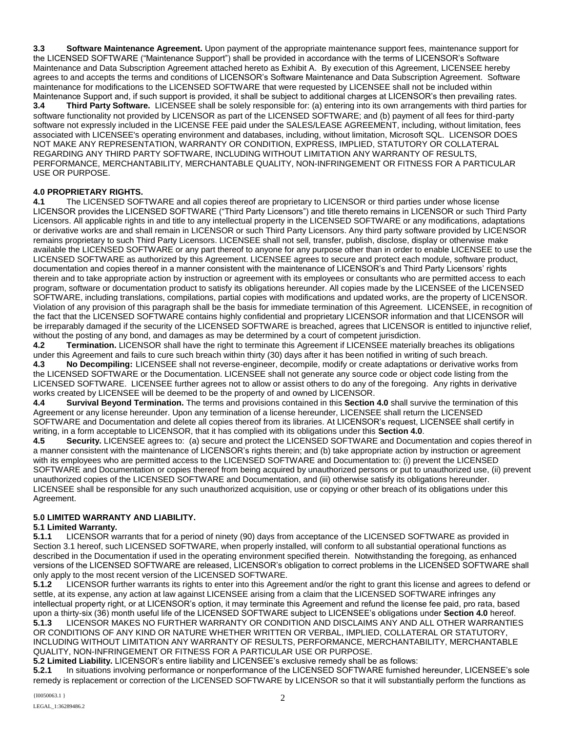**3.3 Software Maintenance Agreement.** Upon payment of the appropriate maintenance support fees, maintenance support for the LICENSED SOFTWARE ("Maintenance Support") shall be provided in accordance with the terms of LICENSOR's Software Maintenance and Data Subscription Agreement attached hereto as Exhibit A. By execution of this Agreement, LICENSEE hereby agrees to and accepts the terms and conditions of LICENSOR's Software Maintenance and Data Subscription Agreement. Software maintenance for modifications to the LICENSED SOFTWARE that were requested by LICENSEE shall not be included within Maintenance Support and, if such support is provided, it shall be subject to additional charges at LICENSOR's then prevailing rates. **3.4 Third Party Software.** LICENSEE shall be solely responsible for: (a) entering into its own arrangements with third parties for software functionality not provided by LICENSOR as part of the LICENSED SOFTWARE; and (b) payment of all fees for third-party software not expressly included in the LICENSE FEE paid under the SALES/LEASE AGREEMENT, including, without limitation, fees associated with LICENSEE's operating environment and databases, including, without limitation, Microsoft SQL. LICENSOR DOES NOT MAKE ANY REPRESENTATION, WARRANTY OR CONDITION, EXPRESS, IMPLIED, STATUTORY OR COLLATERAL REGARDING ANY THIRD PARTY SOFTWARE, INCLUDING WITHOUT LIMITATION ANY WARRANTY OF RESULTS, PERFORMANCE, MERCHANTABILITY, MERCHANTABLE QUALITY, NON-INFRINGEMENT OR FITNESS FOR A PARTICULAR USE OR PURPOSE.

# **4.0 PROPRIETARY RIGHTS.**

**4.1** The LICENSED SOFTWARE and all copies thereof are proprietary to LICENSOR or third parties under whose license LICENSOR provides the LICENSED SOFTWARE ("Third Party Licensors") and title thereto remains in LICENSOR or such Third Party Licensors. All applicable rights in and title to any intellectual property in the LICENSED SOFTWARE or any modifications, adaptations or derivative works are and shall remain in LICENSOR or such Third Party Licensors. Any third party software provided by LICENSOR remains proprietary to such Third Party Licensors. LICENSEE shall not sell, transfer, publish, disclose, display or otherwise make available the LICENSED SOFTWARE or any part thereof to anyone for any purpose other than in order to enable LICENSEE to use the LICENSED SOFTWARE as authorized by this Agreement. LICENSEE agrees to secure and protect each module, software product, documentation and copies thereof in a manner consistent with the maintenance of LICENSOR's and Third Party Licensors' rights therein and to take appropriate action by instruction or agreement with its employees or consultants who are permitted access to each program, software or documentation product to satisfy its obligations hereunder. All copies made by the LICENSEE of the LICENSED SOFTWARE, including translations, compilations, partial copies with modifications and updated works, are the property of LICENSOR. Violation of any provision of this paragraph shall be the basis for immediate termination of this Agreement. LICENSEE, in recognition of the fact that the LICENSED SOFTWARE contains highly confidential and proprietary LICENSOR information and that LICENSOR will be irreparably damaged if the security of the LICENSED SOFTWARE is breached, agrees that LICENSOR is entitled to injunctive relief, without the posting of any bond, and damages as may be determined by a court of competent jurisdiction.

**4.2 Termination.** LICENSOR shall have the right to terminate this Agreement if LICENSEE materially breaches its obligations under this Agreement and fails to cure such breach within thirty (30) days after it has been notified in writing of such breach. **4.3 No Decompiling:** LICENSEE shall not reverse-engineer, decompile, modify or create adaptations or derivative works from the LICENSED SOFTWARE or the Documentation. LICENSEE shall not generate any source code or object code listing from the LICENSED SOFTWARE. LICENSEE further agrees not to allow or assist others to do any of the foregoing. Any rights in derivative works created by LICENSEE will be deemed to be the property of and owned by LICENSOR.

**4.4 Survival Beyond Termination.** The terms and provisions contained in this **Section 4.0** shall survive the termination of this Agreement or any license hereunder. Upon any termination of a license hereunder, LICENSEE shall return the LICENSED SOFTWARE and Documentation and delete all copies thereof from its libraries. At LICENSOR's request, LICENSEE shall certify in writing, in a form acceptable to LICENSOR, that it has complied with its obligations under this **Section 4.0**.

**4.5 Security.** LICENSEE agrees to: (a) secure and protect the LICENSED SOFTWARE and Documentation and copies thereof in a manner consistent with the maintenance of LICENSOR's rights therein; and (b) take appropriate action by instruction or agreement with its employees who are permitted access to the LICENSED SOFTWARE and Documentation to: (i) prevent the LICENSED SOFTWARE and Documentation or copies thereof from being acquired by unauthorized persons or put to unauthorized use, (ii) prevent unauthorized copies of the LICENSED SOFTWARE and Documentation, and (iii) otherwise satisfy its obligations hereunder. LICENSEE shall be responsible for any such unauthorized acquisition, use or copying or other breach of its obligations under this Agreement.

# **5.0 LIMITED WARRANTY AND LIABILITY.**

# **5.1 Limited Warranty.**

**5.1.1** LICENSOR warrants that for a period of ninety (90) days from acceptance of the LICENSED SOFTWARE as provided in Section 3.1 hereof, such LICENSED SOFTWARE, when properly installed, will conform to all substantial operational functions as described in the Documentation if used in the operating environment specified therein. Notwithstanding the foregoing, as enhanced versions of the LICENSED SOFTWARE are released, LICENSOR's obligation to correct problems in the LICENSED SOFTWARE shall

only apply to the most recent version of the LICENSED SOFTWARE.<br>5.1.2 LICENSOR further warrants its rights to enter into this Agree **5.1.2** LICENSOR further warrants its rights to enter into this Agreement and/or the right to grant this license and agrees to defend or settle, at its expense, any action at law against LICENSEE arising from a claim that the LICENSED SOFTWARE infringes any intellectual property right, or at LICENSOR's option, it may terminate this Agreement and refund the license fee paid, pro rata, based upon a thirty-six (36) month useful life of the LICENSED SOFTWARE subject to LICENSEE's obligations under **Section 4.0** hereof. **5.1.3** LICENSOR MAKES NO FURTHER WARRANTY OR CONDITION AND DISCLAIMS ANY AND ALL OTHER WARRANTIES OR CONDITIONS OF ANY KIND OR NATURE WHETHER WRITTEN OR VERBAL, IMPLIED, COLLATERAL OR STATUTORY, INCLUDING WITHOUT LIMITATION ANY WARRANTY OF RESULTS, PERFORMANCE, MERCHANTABILITY, MERCHANTABLE QUALITY, NON-INFRINGEMENT OR FITNESS FOR A PARTICULAR USE OR PURPOSE.

**5.2 Limited Liability.** LICENSOR's entire liability and LICENSEE's exclusive remedy shall be as follows:

**5.2.1** In situations involving performance or nonperformance of the LICENSED SOFTWARE furnished hereunder, LICENSEE's sole remedy is replacement or correction of the LICENSED SOFTWARE by LICENSOR so that it will substantially perform the functions as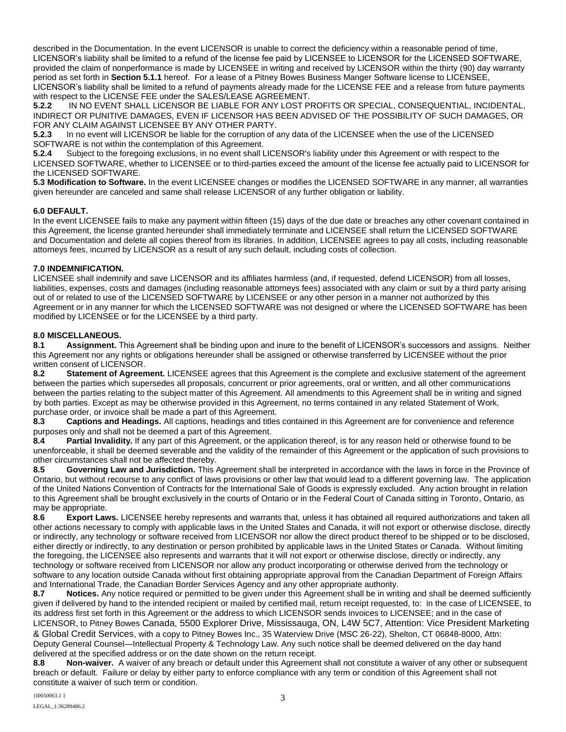described in the Documentation. In the event LICENSOR is unable to correct the deficiency within a reasonable period of time, LICENSOR's liability shall be limited to a refund of the license fee paid by LICENSEE to LICENSOR for the LICENSED SOFTWARE, provided the claim of nonperformance is made by LICENSEE in writing and received by LICENSOR within the thirty (90) day warranty period as set forth in **Section 5.1.1** hereof. For a lease of a Pitney Bowes Business Manger Software license to LICENSEE, LICENSOR's liability shall be limited to a refund of payments already made for the LICENSE FEE and a release from future payments with respect to the LICENSE FEE under the SALES/LEASE AGREEMENT.

**5.2.2** IN NO EVENT SHALL LICENSOR BE LIABLE FOR ANY LOST PROFITS OR SPECIAL, CONSEQUENTIAL, INCIDENTAL, INDIRECT OR PUNITIVE DAMAGES, EVEN IF LICENSOR HAS BEEN ADVISED OF THE POSSIBILITY OF SUCH DAMAGES, OR FOR ANY CLAIM AGAINST LICENSEE BY ANY OTHER PARTY.

**5.2.3** In no event will LICENSOR be liable for the corruption of any data of the LICENSEE when the use of the LICENSED SOFTWARE is not within the contemplation of this Agreement.

**5.2.4** Subject to the foregoing exclusions, in no event shall LICENSOR's liability under this Agreement or with respect to the LICENSED SOFTWARE, whether to LICENSEE or to third-parties exceed the amount of the license fee actually paid to LICENSOR for the LICENSED SOFTWARE.

**5.3 Modification to Software.** In the event LICENSEE changes or modifies the LICENSED SOFTWARE in any manner, all warranties given hereunder are canceled and same shall release LICENSOR of any further obligation or liability.

# **6.0 DEFAULT.**

In the event LICENSEE fails to make any payment within fifteen (15) days of the due date or breaches any other covenant contained in this Agreement, the license granted hereunder shall immediately terminate and LICENSEE shall return the LICENSED SOFTWARE and Documentation and delete all copies thereof from its libraries. In addition, LICENSEE agrees to pay all costs, including reasonable attorneys fees, incurred by LICENSOR as a result of any such default, including costs of collection.

# **7.0 INDEMNIFICATION.**

LICENSEE shall indemnify and save LICENSOR and its affiliates harmless (and, if requested, defend LICENSOR) from all losses, liabilities, expenses, costs and damages (including reasonable attorneys fees) associated with any claim or suit by a third party arising out of or related to use of the LICENSED SOFTWARE by LICENSEE or any other person in a manner not authorized by this Agreement or in any manner for which the LICENSED SOFTWARE was not designed or where the LICENSED SOFTWARE has been modified by LICENSEE or for the LICENSEE by a third party.

# **8.0 MISCELLANEOUS.**

**8.1 Assignment.** This Agreement shall be binding upon and inure to the benefit of LICENSOR's successors and assigns. Neither this Agreement nor any rights or obligations hereunder shall be assigned or otherwise transferred by LICENSEE without the prior written consent of LICENSOR.

**8.2 Statement of Agreement.** LICENSEE agrees that this Agreement is the complete and exclusive statement of the agreement between the parties which supersedes all proposals, concurrent or prior agreements, oral or written, and all other communications between the parties relating to the subject matter of this Agreement. All amendments to this Agreement shall be in writing and signed by both parties. Except as may be otherwise provided in this Agreement, no terms contained in any related Statement of Work, purchase order, or invoice shall be made a part of this Agreement.

**8.3 Captions and Headings.** All captions, headings and titles contained in this Agreement are for convenience and reference purposes only and shall not be deemed a part of this Agreement.

**8.4 Partial Invalidity.** If any part of this Agreement, or the application thereof, is for any reason held or otherwise found to be unenforceable, it shall be deemed severable and the validity of the remainder of this Agreement or the application of such provisions to other circumstances shall not be affected thereby.

**8.5 Governing Law and Jurisdiction.** This Agreement shall be interpreted in accordance with the laws in force in the Province of Ontario, but without recourse to any conflict of laws provisions or other law that would lead to a different governing law. The application of the United Nations Convention of Contracts for the International Sale of Goods is expressly excluded. Any action brought in relation to this Agreement shall be brought exclusively in the courts of Ontario or in the Federal Court of Canada sitting in Toronto, Ontario, as may be appropriate.<br>8.6 Export Law

**8.6 Export Laws.** LICENSEE hereby represents and warrants that, unless it has obtained all required authorizations and taken all other actions necessary to comply with applicable laws in the United States and Canada, it will not export or otherwise disclose, directly or indirectly, any technology or software received from LICENSOR nor allow the direct product thereof to be shipped or to be disclosed, either directly or indirectly, to any destination or person prohibited by applicable laws in the United States or Canada. Without limiting the foregoing, the LICENSEE also represents and warrants that it will not export or otherwise disclose, directly or indirectly, any technology or software received from LICENSOR nor allow any product incorporating or otherwise derived from the technology or software to any location outside Canada without first obtaining appropriate approval from the Canadian Department of Foreign Affairs and International Trade, the Canadian Border Services Agency and any other appropriate authority.

**8.7 Notices.** Any notice required or permitted to be given under this Agreement shall be in writing and shall be deemed sufficiently given if delivered by hand to the intended recipient or mailed by certified mail, return receipt requested, to: in the case of LICENSEE, to its address first set forth in this Agreement or the address to which LICENSOR sends invoices to LICENSEE; and in the case of LICENSOR, to Pitney Bowes Canada, 5500 Explorer Drive, Mississauga, ON, L4W 5C7, Attention: Vice President Marketing & Global Credit Services, with a copy to Pitney Bowes Inc., 35 Waterview Drive (MSC 26-22), Shelton, CT 06848-8000, Attn: Deputy General Counsel—Intellectual Property & Technology Law. Any such notice shall be deemed delivered on the day hand delivered at the specified address or on the date shown on the return receipt.

**8.8 Non-waiver.** A waiver of any breach or default under this Agreement shall not constitute a waiver of any other or subsequent breach or default. Failure or delay by either party to enforce compliance with any term or condition of this Agreement shall not constitute a waiver of such term or condition.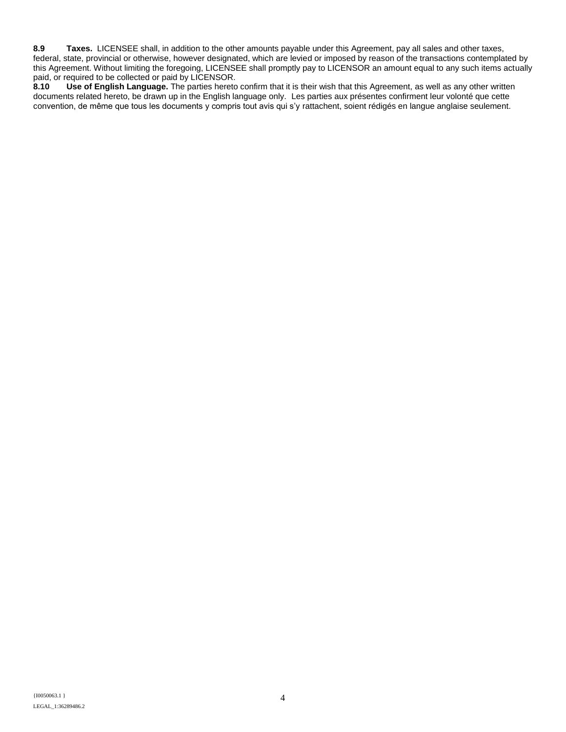**8.9 Taxes.** LICENSEE shall, in addition to the other amounts payable under this Agreement, pay all sales and other taxes, federal, state, provincial or otherwise, however designated, which are levied or imposed by reason of the transactions contemplated by this Agreement. Without limiting the foregoing, LICENSEE shall promptly pay to LICENSOR an amount equal to any such items actually paid, or required to be collected or paid by LICENSOR.<br>8.10 Use of English Language. The parties hereto

**8.10 Use of English Language.** The parties hereto confirm that it is their wish that this Agreement, as well as any other written documents related hereto, be drawn up in the English language only. Les parties aux présentes confirment leur volonté que cette convention, de même que tous les documents y compris tout avis qui s'y rattachent, soient rédigés en langue anglaise seulement.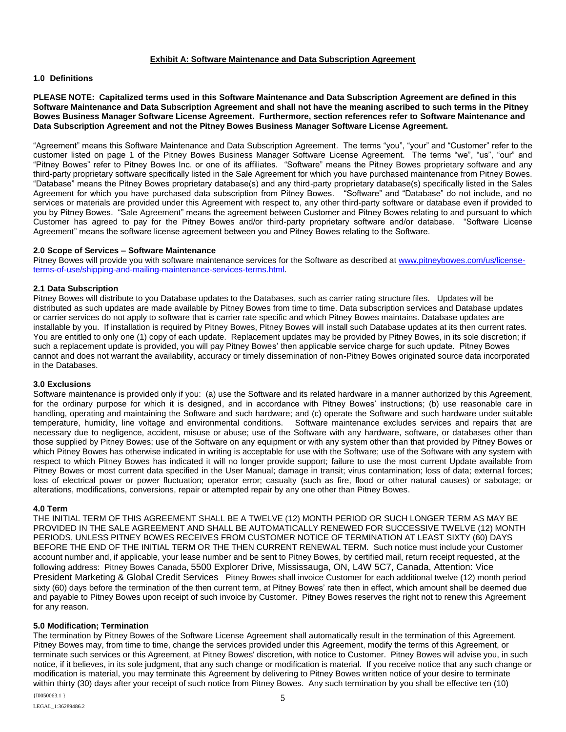#### **Exhibit A: Software Maintenance and Data Subscription Agreement**

#### **1.0 Definitions**

#### **PLEASE NOTE: Capitalized terms used in this Software Maintenance and Data Subscription Agreement are defined in this Software Maintenance and Data Subscription Agreement and shall not have the meaning ascribed to such terms in the Pitney Bowes Business Manager Software License Agreement. Furthermore, section references refer to Software Maintenance and Data Subscription Agreement and not the Pitney Bowes Business Manager Software License Agreement.**

"Agreement" means this Software Maintenance and Data Subscription Agreement. The terms "you", "your" and "Customer" refer to the customer listed on page 1 of the Pitney Bowes Business Manager Software License Agreement. The terms "we", "us", "our" and "Pitney Bowes" refer to Pitney Bowes Inc. or one of its affiliates. "Software" means the Pitney Bowes proprietary software and any third-party proprietary software specifically listed in the Sale Agreement for which you have purchased maintenance from Pitney Bowes. "Database" means the Pitney Bowes proprietary database(s) and any third-party proprietary database(s) specifically listed in the Sales Agreement for which you have purchased data subscription from Pitney Bowes. "Software" and "Database" do not include, and no services or materials are provided under this Agreement with respect to, any other third-party software or database even if provided to you by Pitney Bowes. "Sale Agreement" means the agreement between Customer and Pitney Bowes relating to and pursuant to which Customer has agreed to pay for the Pitney Bowes and/or third-party proprietary software and/or database. "Software License Agreement" means the software license agreement between you and Pitney Bowes relating to the Software.

#### **2.0 Scope of Services – Software Maintenance**

Pitney Bowes will provide you with software maintenance services for the Software as described at [www.pitneybowes.com/us/license](http://www.pitneybowes.com/us/license-terms-of-use/shipping-and-mailing-maintenance-services-terms.html)[terms-of-use/shipping-and-mailing-maintenance-services-terms.html.](http://www.pitneybowes.com/us/license-terms-of-use/shipping-and-mailing-maintenance-services-terms.html)

### **2.1 Data Subscription**

Pitney Bowes will distribute to you Database updates to the Databases, such as carrier rating structure files. Updates will be distributed as such updates are made available by Pitney Bowes from time to time. Data subscription services and Database updates or carrier services do not apply to software that is carrier rate specific and which Pitney Bowes maintains. Database updates are installable by you. If installation is required by Pitney Bowes, Pitney Bowes will install such Database updates at its then current rates. You are entitled to only one (1) copy of each update. Replacement updates may be provided by Pitney Bowes, in its sole discretion; if such a replacement update is provided, you will pay Pitney Bowes' then applicable service charge for such update. Pitney Bowes cannot and does not warrant the availability, accuracy or timely dissemination of non-Pitney Bowes originated source data incorporated in the Databases.

#### **3.0 Exclusions**

Software maintenance is provided only if you: (a) use the Software and its related hardware in a manner authorized by this Agreement, for the ordinary purpose for which it is designed, and in accordance with Pitney Bowes' instructions; (b) use reasonable care in handling, operating and maintaining the Software and such hardware; and (c) operate the Software and such hardware under suitable temperature, humidity, line voltage and environmental conditions. Software maintenance excludes services and repairs that are necessary due to negligence, accident, misuse or abuse; use of the Software with any hardware, software, or databases other than those supplied by Pitney Bowes; use of the Software on any equipment or with any system other than that provided by Pitney Bowes or which Pitney Bowes has otherwise indicated in writing is acceptable for use with the Software; use of the Software with any system with respect to which Pitney Bowes has indicated it will no longer provide support; failure to use the most current Update available from Pitney Bowes or most current data specified in the User Manual; damage in transit; virus contamination; loss of data; external forces; loss of electrical power or power fluctuation; operator error; casualty (such as fire, flood or other natural causes) or sabotage; or alterations, modifications, conversions, repair or attempted repair by any one other than Pitney Bowes.

#### **4.0 Term**

THE INITIAL TERM OF THIS AGREEMENT SHALL BE A TWELVE (12) MONTH PERIOD OR SUCH LONGER TERM AS MAY BE PROVIDED IN THE SALE AGREEMENT AND SHALL BE AUTOMATICALLY RENEWED FOR SUCCESSIVE TWELVE (12) MONTH PERIODS, UNLESS PITNEY BOWES RECEIVES FROM CUSTOMER NOTICE OF TERMINATION AT LEAST SIXTY (60) DAYS BEFORE THE END OF THE INITIAL TERM OR THE THEN CURRENT RENEWAL TERM. Such notice must include your Customer account number and, if applicable, your lease number and be sent to Pitney Bowes, by certified mail, return receipt requested, at the following address: Pitney Bowes Canada, 5500 Explorer Drive, Mississauga, ON, L4W 5C7, Canada, Attention: Vice President Marketing & Global Credit Services Pitney Bowes shall invoice Customer for each additional twelve (12) month period sixty (60) days before the termination of the then current term, at Pitney Bowes' rate then in effect, which amount shall be deemed due and payable to Pitney Bowes upon receipt of such invoice by Customer. Pitney Bowes reserves the right not to renew this Agreement for any reason.

#### **5.0 Modification; Termination**

The termination by Pitney Bowes of the Software License Agreement shall automatically result in the termination of this Agreement. Pitney Bowes may, from time to time, change the services provided under this Agreement, modify the terms of this Agreement, or terminate such services or this Agreement, at Pitney Bowes' discretion, with notice to Customer. Pitney Bowes will advise you, in such notice, if it believes, in its sole judgment, that any such change or modification is material. If you receive notice that any such change or modification is material, you may terminate this Agreement by delivering to Pitney Bowes written notice of your desire to terminate within thirty (30) days after your receipt of such notice from Pitney Bowes. Any such termination by you shall be effective ten (10)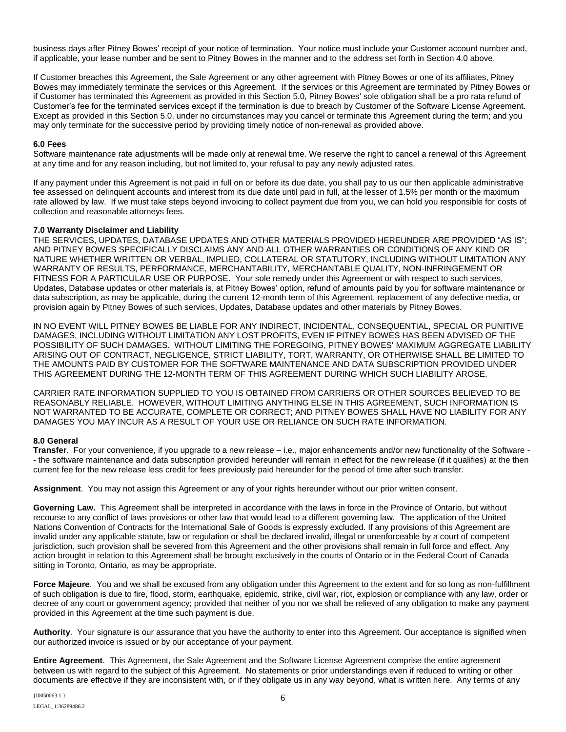business days after Pitney Bowes' receipt of your notice of termination. Your notice must include your Customer account number and, if applicable, your lease number and be sent to Pitney Bowes in the manner and to the address set forth in Section 4.0 above.

If Customer breaches this Agreement, the Sale Agreement or any other agreement with Pitney Bowes or one of its affiliates, Pitney Bowes may immediately terminate the services or this Agreement. If the services or this Agreement are terminated by Pitney Bowes or if Customer has terminated this Agreement as provided in this Section 5.0, Pitney Bowes' sole obligation shall be a pro rata refund of Customer's fee for the terminated services except if the termination is due to breach by Customer of the Software License Agreement. Except as provided in this Section 5.0, under no circumstances may you cancel or terminate this Agreement during the term; and you may only terminate for the successive period by providing timely notice of non-renewal as provided above.

### **6.0 Fees**

Software maintenance rate adjustments will be made only at renewal time. We reserve the right to cancel a renewal of this Agreement at any time and for any reason including, but not limited to, your refusal to pay any newly adjusted rates.

If any payment under this Agreement is not paid in full on or before its due date, you shall pay to us our then applicable administrative fee assessed on delinquent accounts and interest from its due date until paid in full, at the lesser of 1.5% per month or the maximum rate allowed by law. If we must take steps beyond invoicing to collect payment due from you, we can hold you responsible for costs of collection and reasonable attorneys fees.

#### **7.0 Warranty Disclaimer and Liability**

THE SERVICES, UPDATES, DATABASE UPDATES AND OTHER MATERIALS PROVIDED HEREUNDER ARE PROVIDED "AS IS"; AND PITNEY BOWES SPECIFICALLY DISCLAIMS ANY AND ALL OTHER WARRANTIES OR CONDITIONS OF ANY KIND OR NATURE WHETHER WRITTEN OR VERBAL, IMPLIED, COLLATERAL OR STATUTORY, INCLUDING WITHOUT LIMITATION ANY WARRANTY OF RESULTS, PERFORMANCE, MERCHANTABILITY, MERCHANTABLE QUALITY, NON-INFRINGEMENT OR FITNESS FOR A PARTICULAR USE OR PURPOSE. Your sole remedy under this Agreement or with respect to such services, Updates, Database updates or other materials is, at Pitney Bowes' option, refund of amounts paid by you for software maintenance or data subscription, as may be applicable, during the current 12-month term of this Agreement, replacement of any defective media, or provision again by Pitney Bowes of such services, Updates, Database updates and other materials by Pitney Bowes.

IN NO EVENT WILL PITNEY BOWES BE LIABLE FOR ANY INDIRECT, INCIDENTAL, CONSEQUENTIAL, SPECIAL OR PUNITIVE DAMAGES, INCLUDING WITHOUT LIMITATION ANY LOST PROFITS, EVEN IF PITNEY BOWES HAS BEEN ADVISED OF THE POSSIBILITY OF SUCH DAMAGES. WITHOUT LIMITING THE FOREGOING, PITNEY BOWES' MAXIMUM AGGREGATE LIABILITY ARISING OUT OF CONTRACT, NEGLIGENCE, STRICT LIABILITY, TORT, WARRANTY, OR OTHERWISE SHALL BE LIMITED TO THE AMOUNTS PAID BY CUSTOMER FOR THE SOFTWARE MAINTENANCE AND DATA SUBSCRIPTION PROVIDED UNDER THIS AGREEMENT DURING THE 12-MONTH TERM OF THIS AGREEMENT DURING WHICH SUCH LIABILITY AROSE.

CARRIER RATE INFORMATION SUPPLIED TO YOU IS OBTAINED FROM CARRIERS OR OTHER SOURCES BELIEVED TO BE REASONABLY RELIABLE. HOWEVER, WITHOUT LIMITING ANYTHING ELSE IN THIS AGREEMENT, SUCH INFORMATION IS NOT WARRANTED TO BE ACCURATE, COMPLETE OR CORRECT; AND PITNEY BOWES SHALL HAVE NO LIABILITY FOR ANY DAMAGES YOU MAY INCUR AS A RESULT OF YOUR USE OR RELIANCE ON SUCH RATE INFORMATION.

#### **8.0 General**

**Transfer**. For your convenience, if you upgrade to a new release – i.e., major enhancements and/or new functionality of the Software - - the software maintenance and data subscription provided hereunder will remain in effect for the new release (if it qualifies) at the then current fee for the new release less credit for fees previously paid hereunder for the period of time after such transfer.

**Assignment**. You may not assign this Agreement or any of your rights hereunder without our prior written consent.

**Governing Law.** This Agreement shall be interpreted in accordance with the laws in force in the Province of Ontario, but without recourse to any conflict of laws provisions or other law that would lead to a different governing law. The application of the United Nations Convention of Contracts for the International Sale of Goods is expressly excluded. If any provisions of this Agreement are invalid under any applicable statute, law or regulation or shall be declared invalid, illegal or unenforceable by a court of competent jurisdiction, such provision shall be severed from this Agreement and the other provisions shall remain in full force and effect. Any action brought in relation to this Agreement shall be brought exclusively in the courts of Ontario or in the Federal Court of Canada sitting in Toronto, Ontario, as may be appropriate.

**Force Majeure**. You and we shall be excused from any obligation under this Agreement to the extent and for so long as non-fulfillment of such obligation is due to fire, flood, storm, earthquake, epidemic, strike, civil war, riot, explosion or compliance with any law, order or decree of any court or government agency; provided that neither of you nor we shall be relieved of any obligation to make any payment provided in this Agreement at the time such payment is due.

**Authority**. Your signature is our assurance that you have the authority to enter into this Agreement. Our acceptance is signified when our authorized invoice is issued or by our acceptance of your payment.

**Entire Agreement**. This Agreement, the Sale Agreement and the Software License Agreement comprise the entire agreement between us with regard to the subject of this Agreement. No statements or prior understandings even if reduced to writing or other documents are effective if they are inconsistent with, or if they obligate us in any way beyond, what is written here. Any terms of any